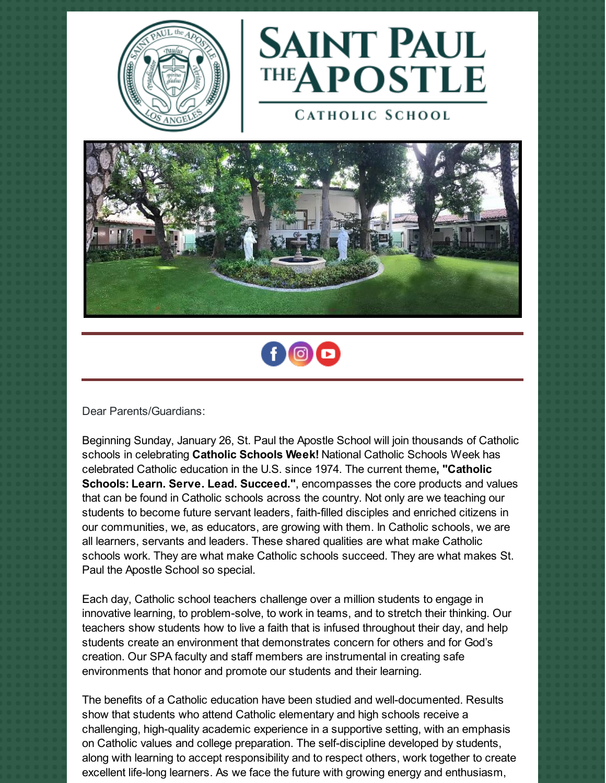



**CATHOLIC SCHOOL** 





Dear Parents/Guardians:

Beginning Sunday, January 26, St. Paul the Apostle School will join thousands of Catholic schools in celebrating **Catholic Schools Week!** National Catholic Schools Week has celebrated Catholic education in the U.S. since 1974. The current theme**, "Catholic Schools: Learn. Serve. Lead. Succeed."**, encompasses the core products and values that can be found in Catholic schools across the country. Not only are we teaching our students to become future servant leaders, faith-filled disciples and enriched citizens in our communities, we, as educators, are growing with them. In Catholic schools, we are all learners, servants and leaders. These shared qualities are what make Catholic schools work. They are what make Catholic schools succeed. They are what makes St. Paul the Apostle School so special.

Each day, Catholic school teachers challenge over a million students to engage in innovative learning, to problem-solve, to work in teams, and to stretch their thinking. Our teachers show students how to live a faith that is infused throughout their day, and help students create an environment that demonstrates concern for others and for God's creation. Our SPA faculty and staff members are instrumental in creating safe environments that honor and promote our students and their learning.

The benefits of a Catholic education have been studied and well-documented. Results show that students who attend Catholic elementary and high schools receive a challenging, high-quality academic experience in a supportive setting, with an emphasis on Catholic values and college preparation. The self-discipline developed by students, along with learning to accept responsibility and to respect others, work together to create excellent life-long learners. As we face the future with growing energy and enthusiasm,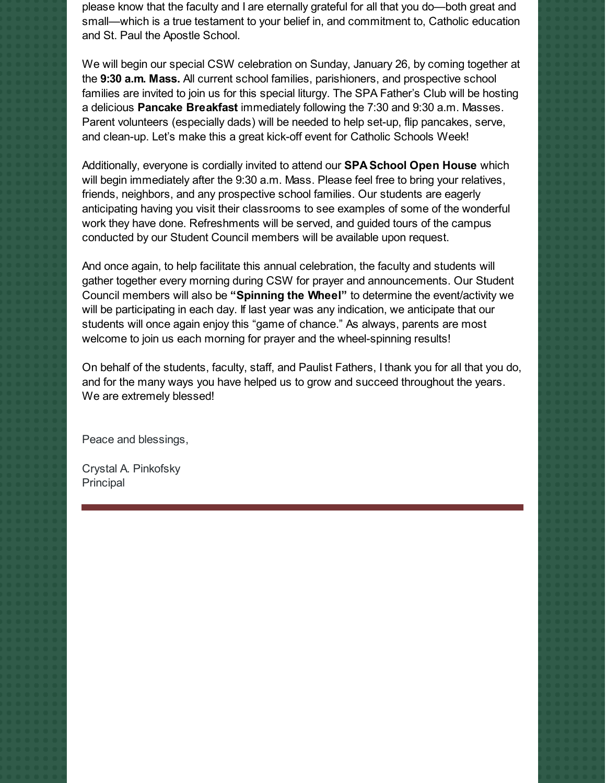please know that the faculty and I are eternally grateful for all that you do—both great and small—which is a true testament to your belief in, and commitment to, Catholic education and St. Paul the Apostle School.

We will begin our special CSW celebration on Sunday, January 26, by coming together at the **9:30 a.m. Mass.** All current school families, parishioners, and prospective school families are invited to join us for this special liturgy. The SPA Father's Club will be hosting a delicious **Pancake Breakfast** immediately following the 7:30 and 9:30 a.m. Masses. Parent volunteers (especially dads) will be needed to help set-up, flip pancakes, serve, and clean-up. Let's make this a great kick-off event for Catholic Schools Week!

Additionally, everyone is cordially invited to attend our **SPA School Open House** which will begin immediately after the 9:30 a.m. Mass. Please feel free to bring your relatives, friends, neighbors, and any prospective school families. Our students are eagerly anticipating having you visit their classrooms to see examples of some of the wonderful work they have done. Refreshments will be served, and guided tours of the campus conducted by our Student Council members will be available upon request.

And once again, to help facilitate this annual celebration, the faculty and students will gather together every morning during CSW for prayer and announcements. Our Student Council members will also be **"Spinning the Wheel"** to determine the event/activity we will be participating in each day. If last year was any indication, we anticipate that our students will once again enjoy this "game of chance." As always, parents are most welcome to join us each morning for prayer and the wheel-spinning results!

On behalf of the students, faculty, staff, and Paulist Fathers, I thank you for all that you do, and for the many ways you have helped us to grow and succeed throughout the years. We are extremely blessed!

Peace and blessings,

Crystal A. Pinkofsky Principal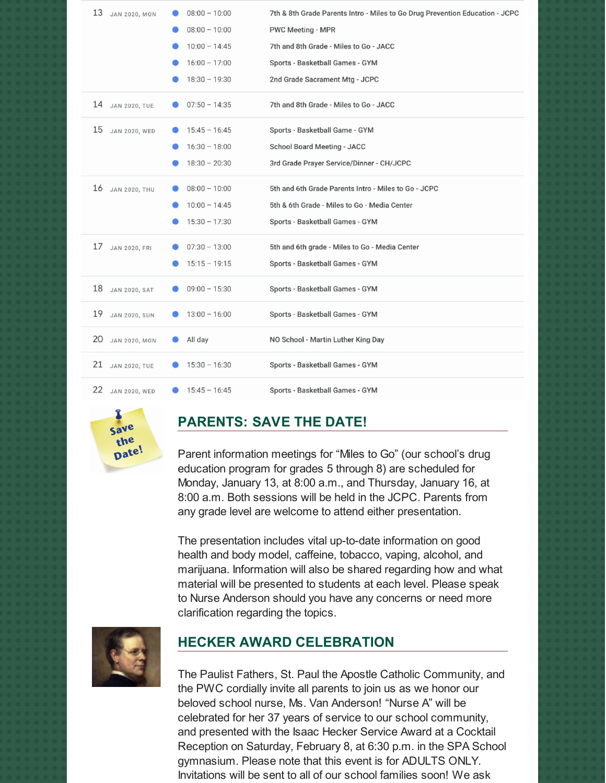| 13<br><b>JAN 2020, MON</b> | $08:00 - 10:00$ | 7th & 8th Grade Parents Intro - Miles to Go Drug Prevention Education - JCPC |
|----------------------------|-----------------|------------------------------------------------------------------------------|
|                            | $08:00 - 10:00$ | <b>PWC Meeting - MPR</b>                                                     |
|                            | $10:00 - 14:45$ | 7th and 8th Grade - Miles to Go - JACC                                       |
|                            | $16:00 - 17:00$ | Sports - Basketball Games - GYM                                              |
|                            | $18:30 - 19:30$ | 2nd Grade Sacrament Mtg - JCPC                                               |
| 14<br><b>JAN 2020, TUE</b> | $07:50 - 14:35$ | 7th and 8th Grade - Miles to Go - JACC                                       |
| 15<br><b>JAN 2020, WED</b> | $15:45 - 16:45$ | Sports - Basketball Game - GYM                                               |
|                            | $16:30 - 18:00$ | <b>School Board Meeting - JACC</b>                                           |
|                            | $18:30 - 20:30$ | 3rd Grade Prayer Service/Dinner - CH/JCPC                                    |
| 16<br><b>JAN 2020, THU</b> | $08:00 - 10:00$ | 5th and 6th Grade Parents Intro - Miles to Go - JCPC                         |
|                            | $10:00 - 14:45$ | 5th & 6th Grade - Miles to Go - Media Center                                 |
|                            | $15:30 - 17:30$ | Sports - Basketball Games - GYM                                              |
| 17<br><b>JAN 2020, FRI</b> | $07:30 - 13:00$ | 5th and 6th grade - Miles to Go - Media Center                               |
|                            | $15:15 - 19:15$ | Sports - Basketball Games - GYM                                              |
| 18<br><b>JAN 2020, SAT</b> | $09:00 - 15:30$ | Sports - Basketball Games - GYM                                              |
| 19<br><b>JAN 2020, SUN</b> | $13:00 - 16:00$ | Sports - Basketball Games - GYM                                              |
| 20<br><b>JAN 2020, MON</b> | All day         | NO School - Martin Luther King Day                                           |
| 21<br><b>JAN 2020, TUE</b> | $15:30 - 16:30$ | Sports - Basketball Games - GYM                                              |
| 22<br><b>JAN 2020, WED</b> | $15:45 - 16:45$ | Sports - Basketball Games - GYM                                              |



## **PARENTS: SAVE THE DATE!**

Parent information meetings for "Miles to Go" (our school's drug education program for grades 5 through 8) are scheduled for Monday, January 13, at 8:00 a.m., and Thursday, January 16, at 8:00 a.m. Both sessions will be held in the JCPC. Parents from any grade level are welcome to attend either presentation.

The presentation includes vital up-to-date information on good health and body model, caffeine, tobacco, vaping, alcohol, and marijuana. Information will also be shared regarding how and what material will be presented to students at each level. Please speak to Nurse Anderson should you have any concerns or need more clarification regarding the topics.



## **HECKER AWARD CELEBRATION**

The Paulist Fathers, St. Paul the Apostle Catholic Community, and the PWC cordially invite all parents to join us as we honor our beloved school nurse, Ms. Van Anderson! "Nurse A" will be celebrated for her 37 years of service to our school community, and presented with the Isaac Hecker Service Award at a Cocktail Reception on Saturday, February 8, at 6:30 p.m. in the SPA School gymnasium. Please note that this event is for ADULTS ONLY. Invitations will be sent to all of our school families soon! We ask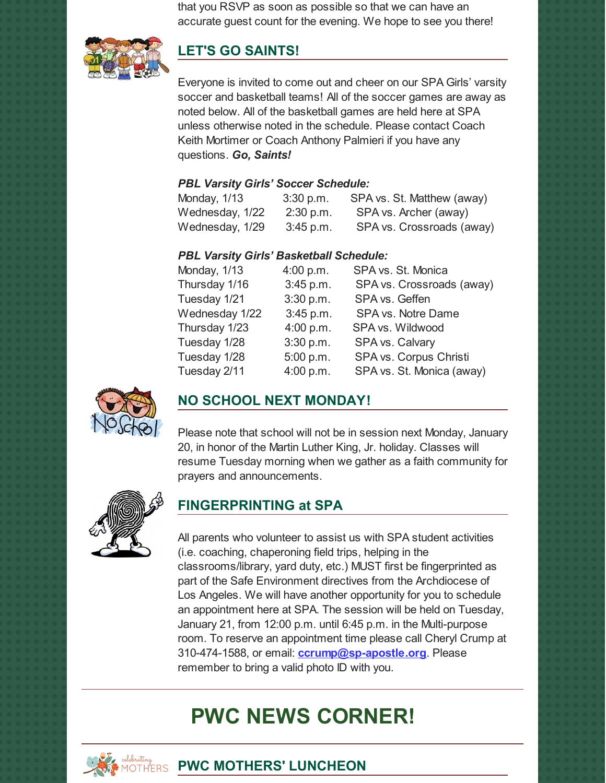that you RSVP as soon as possible so that we can have an accurate guest count for the evening. We hope to see you there!



## **LET'S GO SAINTS!**

Everyone is invited to come out and cheer on our SPA Girls' varsity soccer and basketball teams! All of the soccer games are away as noted below. All of the basketball games are held here at SPA unless otherwise noted in the schedule. Please contact Coach Keith Mortimer or Coach Anthony Palmieri if you have any questions. *Go, Saints!*

#### *PBL Varsity Girls' Soccer Schedule:*

| Monday, 1/13    | 3:30 p.m.   | SPA vs. St. Matthew (away) |
|-----------------|-------------|----------------------------|
| Wednesday, 1/22 | $2:30$ p.m. | SPA vs. Archer (away)      |
| Wednesday, 1/29 | $3:45$ p.m. | SPA vs. Crossroads (away)  |

## *PBL Varsity Girls' Basketball Schedule:*

| Monday, 1/13   | 4:00 p.m. | SPA vs. St. Monica        |
|----------------|-----------|---------------------------|
| Thursday 1/16  | 3:45 p.m. | SPA vs. Crossroads (away) |
| Tuesday 1/21   | 3:30 p.m. | SPA vs. Geffen            |
| Wednesday 1/22 | 3:45 p.m. | SPA vs. Notre Dame        |
| Thursday 1/23  | 4:00 p.m. | SPA vs. Wildwood          |
| Tuesday 1/28   | 3:30 p.m. | SPA vs. Calvary           |
| Tuesday 1/28   | 5:00 p.m. | SPA vs. Corpus Christi    |
| Tuesday 2/11   | 4:00 p.m. | SPA vs. St. Monica (away) |



# **NO SCHOOL NEXT MONDAY!**

Please note that school will not be in session next Monday, January 20, in honor of the Martin Luther King, Jr. holiday. Classes will resume Tuesday morning when we gather as a faith community for prayers and announcements.



# **FINGERPRINTING at SPA**

All parents who volunteer to assist us with SPA student activities (i.e. coaching, chaperoning field trips, helping in the classrooms/library, yard duty, etc.) MUST first be fingerprinted as part of the Safe Environment directives from the Archdiocese of Los Angeles. We will have another opportunity for you to schedule an appointment here at SPA. The session will be held on Tuesday, January 21, from 12:00 p.m. until 6:45 p.m. in the Multi-purpose room. To reserve an appointment time please call Cheryl Crump at 310-474-1588, or email: **[ccrump@sp-apostle.org](mailto:ccrump@sp-apostle.org)**. Please remember to bring a valid photo ID with you.

# **PWC NEWS CORNER!**



**PWC MOTHERS' LUNCHEON**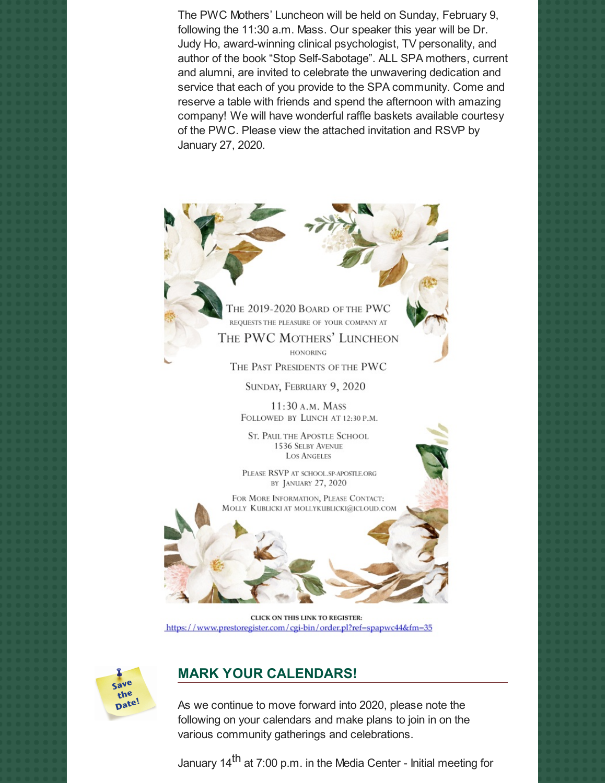The PWC Mothers' Luncheon will be held on Sunday, February 9, following the 11:30 a.m. Mass. Our speaker this year will be Dr. Judy Ho, award-winning clinical psychologist, TV personality, and author of the book "Stop Self-Sabotage". ALL SPA mothers, current and alumni, are invited to celebrate the unwavering dedication and service that each of you provide to the SPA community. Come and reserve a table with friends and spend the afternoon with amazing company! We will have wonderful raffle baskets available courtesy of the PWC. Please view the attached invitation and RSVP by January 27, 2020.

> THE 2019-2020 BOARD OF THE PWC REQUESTS THE PLEASURE OF YOUR COMPANY AT THE PWC MOTHERS' LUNCHEON **HONORING**

THE PAST PRESIDENTS OF THE PWC

SUNDAY, FEBRUARY 9, 2020

11:30 A.M. MASS FOLLOWED BY LUNCH AT 12:30 P.M.

**ST. PAUL THE APOSTLE SCHOOL** 1536 SELBY AVENUE **LOS ANGELES** 

PLEASE RSVP AT SCHOOL.SP-APOSTLE.ORG BY JANUARY 27, 2020

FOR MORE INFORMATION, PLEASE CONTACT: MOLLY KUBLICKI AT MOLLYKUBLICKI@ICLOUD.COM

CLICK ON THIS LINK TO REGISTER: https://www.prestoregister.com/cgi-bin/order.pl?ref=spapwc44&fm=35



## **MARK YOUR CALENDARS!**

As we continue to move forward into 2020, please note the following on your calendars and make plans to join in on the various community gatherings and celebrations.

January 14<sup>th</sup> at 7:00 p.m. in the Media Center - Initial meeting for